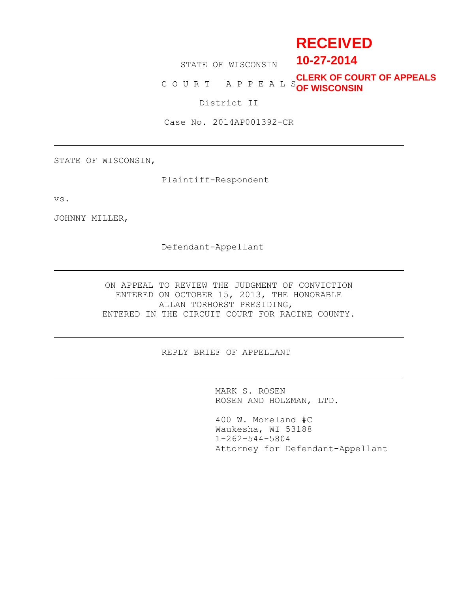# **RECEIVED**

STATE OF WISCONSIN

# C O U R T A P P E A L S **OF WISCONSINCLERK OF COURT OF APPEALS**

**10-27-2014**

District II

Case No. 2014AP001392-CR

STATE OF WISCONSIN,

Plaintiff-Respondent

vs.

JOHNNY MILLER,

Defendant-Appellant

ON APPEAL TO REVIEW THE JUDGMENT OF CONVICTION ENTERED ON OCTOBER 15, 2013, THE HONORABLE ALLAN TORHORST PRESIDING, ENTERED IN THE CIRCUIT COURT FOR RACINE COUNTY.

REPLY BRIEF OF APPELLANT

MARK S. ROSEN ROSEN AND HOLZMAN, LTD.

400 W. Moreland #C Waukesha, WI 53188 1-262-544-5804 Attorney for Defendant-Appellant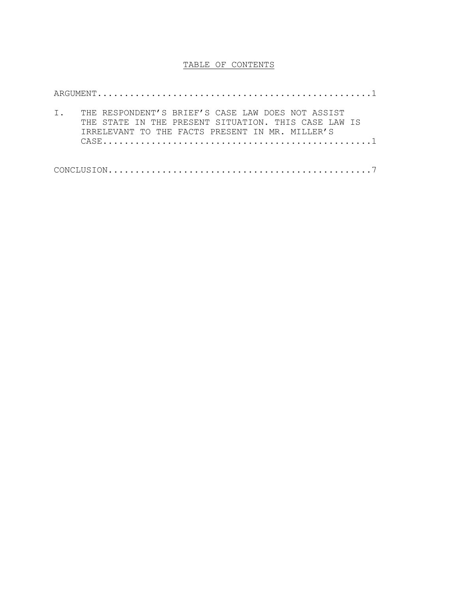## TABLE OF CONTENTS

CASE..................................................1

ARGUMENT...................................................1 I. THE RESPONDENT'S BRIEF'S CASE LAW DOES NOT ASSIST THE STATE IN THE PRESENT SITUATION. THIS CASE LAW IS IRRELEVANT TO THE FACTS PRESENT IN MR. MILLER'S

 $\texttt{CONCLUSION}\dots\dots\dots\dots\dots\dots\dots\dots\dots\dots\dots\dots\dots\dots\dots\dots$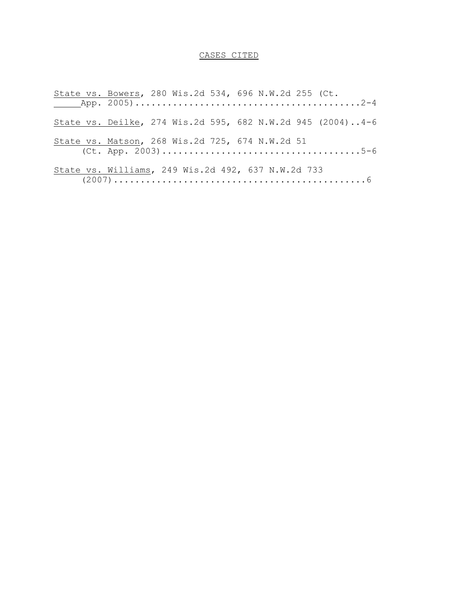# CASES CITED

| State vs. Bowers, 280 Wis.2d 534, 696 N.W.2d 255 (Ct.      |  |  |  |  |  |
|------------------------------------------------------------|--|--|--|--|--|
|                                                            |  |  |  |  |  |
| State vs. Deilke, 274 Wis.2d 595, 682 N.W.2d 945 (2004)4-6 |  |  |  |  |  |
| State vs. Matson, 268 Wis.2d 725, 674 N.W.2d 51            |  |  |  |  |  |
| State vs. Williams, 249 Wis.2d 492, 637 N.W.2d 733         |  |  |  |  |  |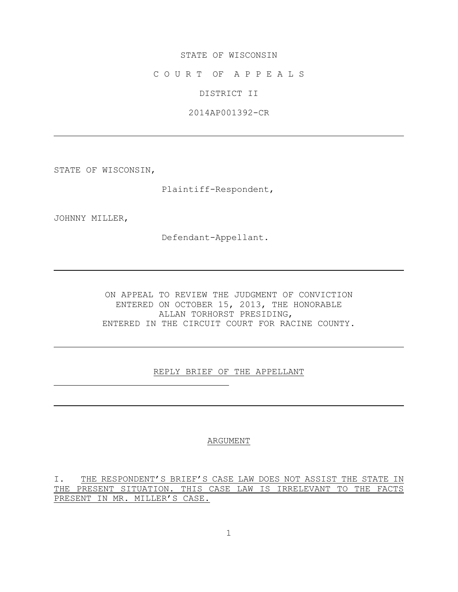#### STATE OF WISCONSIN

C O U R T OF A P P E A L S

DISTRICT II

2014AP001392-CR

STATE OF WISCONSIN,

Plaintiff-Respondent,

JOHNNY MILLER,

Defendant-Appellant.

ON APPEAL TO REVIEW THE JUDGMENT OF CONVICTION ENTERED ON OCTOBER 15, 2013, THE HONORABLE ALLAN TORHORST PRESIDING, ENTERED IN THE CIRCUIT COURT FOR RACINE COUNTY.

REPLY BRIEF OF THE APPELLANT

#### ARGUMENT

I. THE RESPONDENT'S BRIEF'S CASE LAW DOES NOT ASSIST THE STATE IN THE PRESENT SITUATION. THIS CASE LAW IS IRRELEVANT TO THE FACTS PRESENT IN MR. MILLER'S CASE.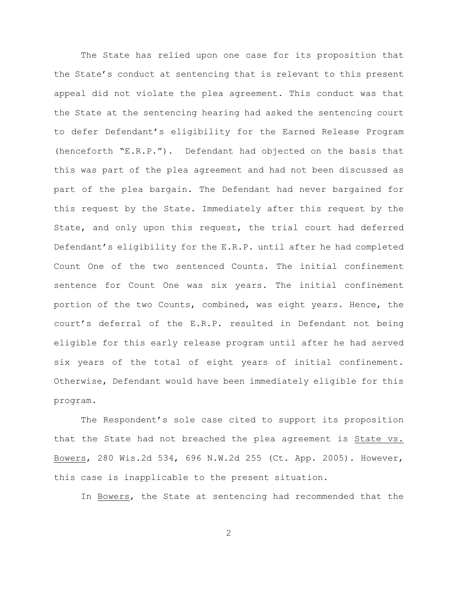The State has relied upon one case for its proposition that the State's conduct at sentencing that is relevant to this present appeal did not violate the plea agreement. This conduct was that the State at the sentencing hearing had asked the sentencing court to defer Defendant's eligibility for the Earned Release Program (henceforth "E.R.P."). Defendant had objected on the basis that this was part of the plea agreement and had not been discussed as part of the plea bargain. The Defendant had never bargained for this request by the State. Immediately after this request by the State, and only upon this request, the trial court had deferred Defendant's eligibility for the E.R.P. until after he had completed Count One of the two sentenced Counts. The initial confinement sentence for Count One was six years. The initial confinement portion of the two Counts, combined, was eight years. Hence, the court's deferral of the E.R.P. resulted in Defendant not being eligible for this early release program until after he had served six years of the total of eight years of initial confinement. Otherwise, Defendant would have been immediately eligible for this program.

The Respondent's sole case cited to support its proposition that the State had not breached the plea agreement is State vs. Bowers, 280 Wis.2d 534, 696 N.W.2d 255 (Ct. App. 2005). However, this case is inapplicable to the present situation.

In Bowers, the State at sentencing had recommended that the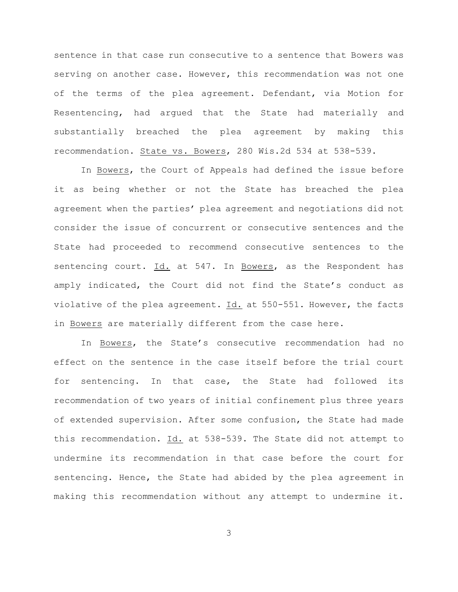sentence in that case run consecutive to a sentence that Bowers was serving on another case. However, this recommendation was not one of the terms of the plea agreement. Defendant, via Motion for Resentencing, had argued that the State had materially and substantially breached the plea agreement by making this recommendation. State vs. Bowers, 280 Wis.2d 534 at 538-539.

In Bowers, the Court of Appeals had defined the issue before it as being whether or not the State has breached the plea agreement when the parties' plea agreement and negotiations did not consider the issue of concurrent or consecutive sentences and the State had proceeded to recommend consecutive sentences to the sentencing court. Id. at 547. In Bowers, as the Respondent has amply indicated, the Court did not find the State's conduct as violative of the plea agreement. Id. at 550-551. However, the facts in Bowers are materially different from the case here.

In Bowers, the State's consecutive recommendation had no effect on the sentence in the case itself before the trial court for sentencing. In that case, the State had followed its recommendation of two years of initial confinement plus three years of extended supervision. After some confusion, the State had made this recommendation. Id. at 538-539. The State did not attempt to undermine its recommendation in that case before the court for sentencing. Hence, the State had abided by the plea agreement in making this recommendation without any attempt to undermine it.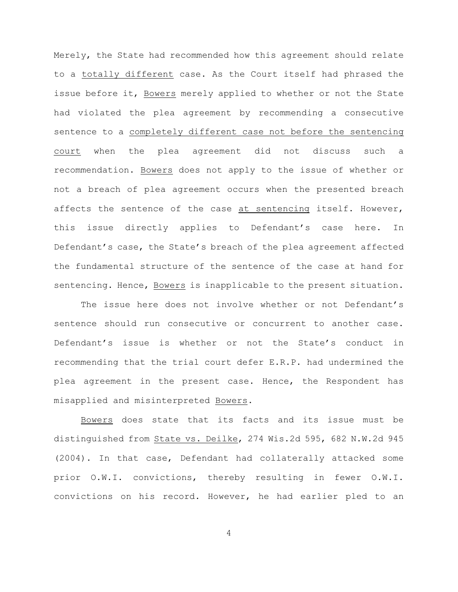Merely, the State had recommended how this agreement should relate to a totally different case. As the Court itself had phrased the issue before it, Bowers merely applied to whether or not the State had violated the plea agreement by recommending a consecutive sentence to a completely different case not before the sentencing court when the plea agreement did not discuss such a recommendation. Bowers does not apply to the issue of whether or not a breach of plea agreement occurs when the presented breach affects the sentence of the case at sentencing itself. However, this issue directly applies to Defendant's case here. In Defendant's case, the State's breach of the plea agreement affected the fundamental structure of the sentence of the case at hand for sentencing. Hence, Bowers is inapplicable to the present situation.

The issue here does not involve whether or not Defendant's sentence should run consecutive or concurrent to another case. Defendant's issue is whether or not the State's conduct in recommending that the trial court defer E.R.P. had undermined the plea agreement in the present case. Hence, the Respondent has misapplied and misinterpreted Bowers.

Bowers does state that its facts and its issue must be distinguished from State vs. Deilke, 274 Wis.2d 595, 682 N.W.2d 945 (2004). In that case, Defendant had collaterally attacked some prior O.W.I. convictions, thereby resulting in fewer O.W.I. convictions on his record. However, he had earlier pled to an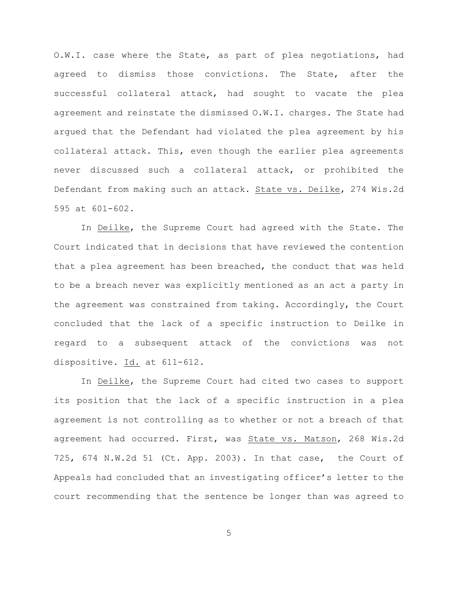O.W.I. case where the State, as part of plea negotiations, had agreed to dismiss those convictions. The State, after the successful collateral attack, had sought to vacate the plea agreement and reinstate the dismissed O.W.I. charges. The State had argued that the Defendant had violated the plea agreement by his collateral attack. This, even though the earlier plea agreements never discussed such a collateral attack, or prohibited the Defendant from making such an attack. State vs. Deilke, 274 Wis.2d 595 at 601-602.

In Deilke, the Supreme Court had agreed with the State. The Court indicated that in decisions that have reviewed the contention that a plea agreement has been breached, the conduct that was held to be a breach never was explicitly mentioned as an act a party in the agreement was constrained from taking. Accordingly, the Court concluded that the lack of a specific instruction to Deilke in regard to a subsequent attack of the convictions was not dispositive. Id. at 611-612.

In Deilke, the Supreme Court had cited two cases to support its position that the lack of a specific instruction in a plea agreement is not controlling as to whether or not a breach of that agreement had occurred. First, was State vs. Matson, 268 Wis.2d 725, 674 N.W.2d 51 (Ct. App. 2003). In that case, the Court of Appeals had concluded that an investigating officer's letter to the court recommending that the sentence be longer than was agreed to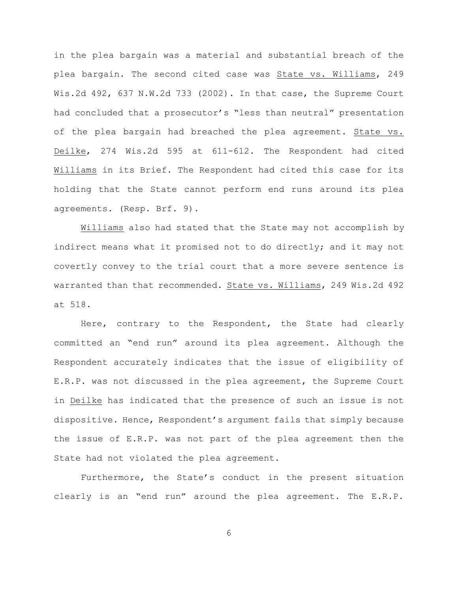in the plea bargain was a material and substantial breach of the plea bargain. The second cited case was State vs. Williams, 249 Wis.2d 492, 637 N.W.2d 733 (2002). In that case, the Supreme Court had concluded that a prosecutor's "less than neutral" presentation of the plea bargain had breached the plea agreement. State vs. Deilke, 274 Wis.2d 595 at 611-612. The Respondent had cited Williams in its Brief. The Respondent had cited this case for its holding that the State cannot perform end runs around its plea agreements. (Resp. Brf. 9).

Williams also had stated that the State may not accomplish by indirect means what it promised not to do directly; and it may not covertly convey to the trial court that a more severe sentence is warranted than that recommended. State vs. Williams, 249 Wis.2d 492 at 518.

Here, contrary to the Respondent, the State had clearly committed an "end run" around its plea agreement. Although the Respondent accurately indicates that the issue of eligibility of E.R.P. was not discussed in the plea agreement, the Supreme Court in Deilke has indicated that the presence of such an issue is not dispositive. Hence, Respondent's argument fails that simply because the issue of E.R.P. was not part of the plea agreement then the State had not violated the plea agreement.

Furthermore, the State's conduct in the present situation clearly is an "end run" around the plea agreement. The E.R.P.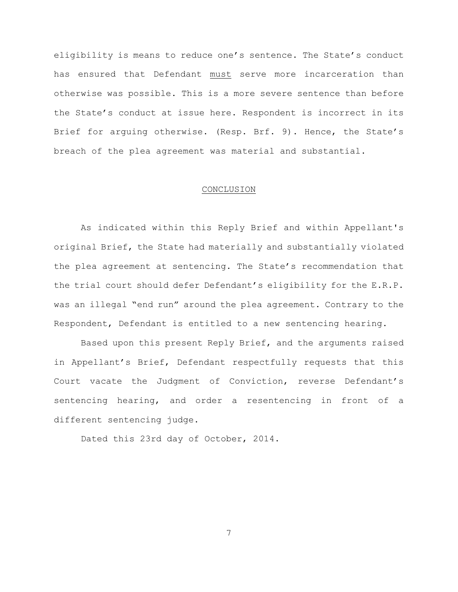eligibility is means to reduce one's sentence. The State's conduct has ensured that Defendant must serve more incarceration than otherwise was possible. This is a more severe sentence than before the State's conduct at issue here. Respondent is incorrect in its Brief for arguing otherwise. (Resp. Brf. 9). Hence, the State's breach of the plea agreement was material and substantial.

#### CONCLUSION

As indicated within this Reply Brief and within Appellant's original Brief, the State had materially and substantially violated the plea agreement at sentencing. The State's recommendation that the trial court should defer Defendant's eligibility for the E.R.P. was an illegal "end run" around the plea agreement. Contrary to the Respondent, Defendant is entitled to a new sentencing hearing.

Based upon this present Reply Brief, and the arguments raised in Appellant's Brief, Defendant respectfully requests that this Court vacate the Judgment of Conviction, reverse Defendant's sentencing hearing, and order a resentencing in front of a different sentencing judge.

Dated this 23rd day of October, 2014.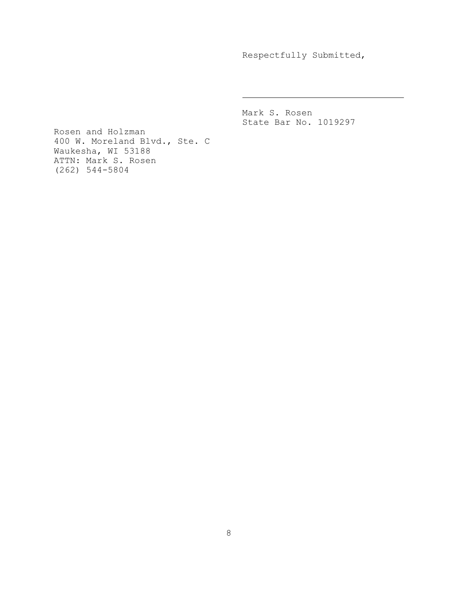Respectfully Submitted,

Mark S. Rosen State Bar No. 1019297

Rosen and Holzman 400 W. Moreland Blvd., Ste. C Waukesha, WI 53188 ATTN: Mark S. Rosen (262) 544-5804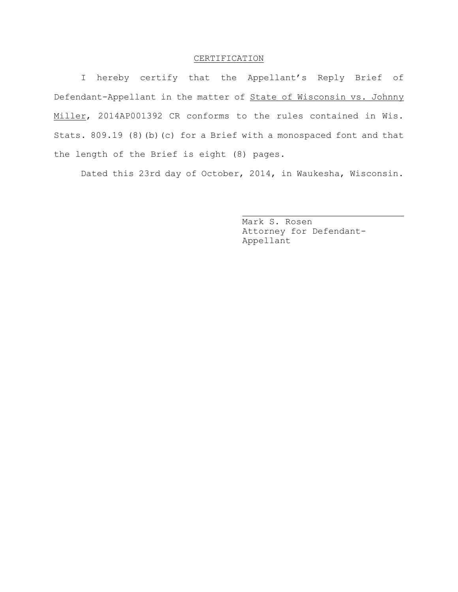## CERTIFICATION

I hereby certify that the Appellant's Reply Brief of Defendant-Appellant in the matter of State of Wisconsin vs. Johnny Miller, 2014AP001392 CR conforms to the rules contained in Wis. Stats. 809.19 (8)(b)(c) for a Brief with a monospaced font and that the length of the Brief is eight (8) pages.

Dated this 23rd day of October, 2014, in Waukesha, Wisconsin.

Mark S. Rosen Attorney for Defendant-Appellant